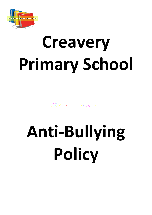

# **Creavery Primary School**

a katalana dan sama sama dan Karaban (k. 1971).<br>20 merupakan tahun biasa yang bermula pada tahun 1970 dan biasa yang bermula pada tahun 1970 dan tahun 1970 d<br>20 merupakan tahun biasa yang bermula pada tahun 1970 dan biasa

# **Anti-Bullying Policy**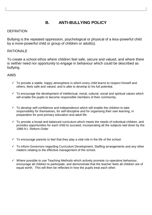# **B. ANTI-BULLYING POLICY**

## **DEFINITION**

Bullying is the repeated oppression, psychological or physical of a less-powerful child by a more-powerful child or group of children or adult(s).

## RATIONALE

To create a school ethos where children feel safe, secure and valued, and where there is neither need nor opportunity to engage in behaviour which could be described as bullying.

## AIMS

- $\checkmark$  To provide a stable, happy atmosphere in which every child learns to respect himself and others, feels safe and valued, and is able to develop to his full potential.
- $\checkmark$  To encourage the development of intellectual, moral, cultural, social and spiritual values which will enable the pupils to become responsible members of their community.
- $\checkmark$  To develop self-confidence and independence which will enable the children to take responsibility for themselves, for self-discipline and for organising their own learning, in preparation for post-primary education and adult life.
- $\checkmark$  To provide a broad and balanced curriculum which meets the needs of individual children, and provides opportunities for each child to succeed, incorporating all the subjects laid down by the 1989 N.I. Reform Order
- $\checkmark$  To encourage parents to feel that they play a vital role in the life of the school.
- $\checkmark$  To inform Governors regarding Curriculum Development, Staffing arrangements and any other matters relating to the effective management of the school.
- $\checkmark$  Where possible to use Teaching Methods which actively promote co-operative behaviour, encourage all children to participate, and demonstrate that the teacher feels all children are of equal worth. This will then be reflected in how the pupils treat each other.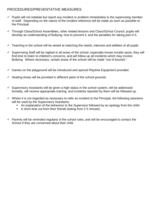# PROCEDURES/PREVENTATIVE MEASURES

- $\checkmark$  Pupils will not retaliate but report any incident or problem immediately to the supervising member of staff. Depending on the nature of the incident reference will be made as soon as possible to the Principal.
- $\checkmark$  Through Class/School Assemblies, other related lessons and Class/School Council, pupils will develop an understanding of Bullying, how to prevent it, and the penalties for taking part in it.
- $\checkmark$  Teaching in the school will be aimed at matching the needs, interests and abilities of all pupils.
- $\checkmark$  Supervising Staff will be vigilant in all areas of the school, especially known trouble spots, they will find time to listen to children's concerns, and will follow up all incidents which may involve Bullying. Where necessary, certain areas of the school will be made "out of bounds."
- $\checkmark$  Games on the playground will be introduced and special Playtime Equipment provided.
- $\checkmark$  Seating Areas will be provided in different parts of the school grounds.
- $\checkmark$  Supervisory Assistants will be given a high status in the school system, will be addressed formally, will receive appropriate training, and incidents reported by them will be followed up.
- $\checkmark$  Where it is not regarded as necessary to refer an incident to the Principal, the following sanctions will be used by the Supervisory Assistants.
	- An explanation of the behaviour to the Supervisor followed by an apology from the child.
	- A short time out from their friends lasting from 2-5 minutes.
- $\checkmark$  Parents will be reminded regularly of the school rules, and will be encouraged to contact the School if they are concerned about their child.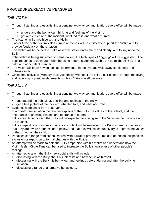# PROCEDURES/REACTIVE MEASURES

# *THE VICTIM*

- $\checkmark$  Through listening and establishing a genuine two-way communication, every effort will be made to:
	- understand the behaviour, thinking and feelings of the Victim.
	- get a true picture of the incident, what led to it, and what occurred.
- $\checkmark$  The listener will empathise with the Victim.
- $\checkmark$  Two or three of the Victim's class group or friends will be enlisted to support the Victim and to provide feedback on the situation.
- $\checkmark$  The Victim will be helped to make assertive statements calmly and clearly, and to say no to the Bully.
- $\checkmark$  If the victim is being subjected to name-calling, the technique of "fogging" will be suggested. The pupil responds to each taunt with the same neutral statement such as "You might think so" in a calm and nonchalant manner.
- $\checkmark$  The Victim will learn how to look at his tormentor in the eye and walk away confidently and unhesitatingly.
- $\checkmark$  Circle time activities (Monday class Assembly) will boost the child's self-esteem through the giving and receiving of positive statements such as "I like myself because........"

# *THE BULLY*

- $\checkmark$  Through listening and establishing a genuine two-way communication, every effort will be made to:
	- understand the behaviour, thinking and feelings of the Bully
	- get a true picture of the incident, what led to it, and what occurred.
- $\checkmark$  Evidence is obtained from observers.
- $\checkmark$  In a one-to-one situation the teacher explains to the Bully the values of the school, and the importance of showing respect and tolerance to others.
- $\checkmark$  If it is a first time incident the Bully will be expected to apologise to the Victim in the presence of the teacher.
- $\checkmark$  If it is a repeat of a previous occurrence, contact will be made with the Bully's parents to ensure that they are aware of the school's policy, and that they will consequently try to impress the values of the school on their child.
- $\checkmark$  Penalties can range from school chores, withdrawal of privileges, time out, detention, suspension, exclusion or expulsion to formal charges with the Police.
- $\checkmark$  An attempt will be made to help the Bully empathise with his Victim and understand how the Victim feels. Circle Time can be used to increase the Bully's awareness of other people's feelings.
- $\checkmark$  An attempt to teach the Bully new social skills will include:
	- discussing with the Bully about his interests and how he views himself
	- discussing with the Bully his behaviour and feelings before, during and after the bullying situation
	- discussing a range of alternative behaviours.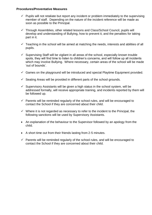#### **Procedures/Preventative Measures**

- $\checkmark$  Pupils will not retaliate but report any incident or problem immediately to the supervising member of staff. Depending on the nature of the incident reference will be made as soon as possible to the Principal.
- ✓ Through Assemblies, other related lessons and Class/School Council, pupils will develop and understanding of Bullying, how to prevent it, and the penalties for taking part in it.
- $\checkmark$  Teaching in the school will be aimed at matching the needs, interests and abilities of all pupils.
- $\checkmark$  Supervising Staff will be vigilant in all areas of the school, especially known trouble spots, they will find time to listen to children's concerns, and will follow up all incidents which may involve Bullying. Where necessary, certain areas of the school will be made 'out of bounds'.
- $\checkmark$  Games on the playground will be introduced and special Playtime Equipment provided.
- $\checkmark$  Seating Areas will be provided in different parts of the school grounds.
- $\checkmark$  Supervisory Assistants will be given a high status in the school system, will be addressed formally, will receive appropriate training, and incidents reported by them will be followed up.
- $\checkmark$  Parents will be reminded regularly of the school rules, and will be encouraged to contact the School if they are concerned about their child.
- $\checkmark$  Where it is not regarded as necessary to refer to the incident to the Principal, the following sanctions will be used by Supervisory Assistants.
- An explanation of the behaviour to the Supervisor followed by an apology from the child.
- A short time out from their friends lasting from 2-5 minutes.
- $\checkmark$  Parents will be reminded regularly of the school rules, and will be encouraged to contact the School if they are concerned about their child.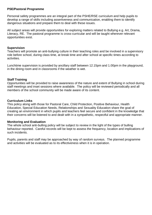#### **PSE/Pastoral Programme**

Personal safety programmes are an integral part of the PSHE/RSE curriculum and help pupils to develop a range of skills including assertiveness and communication, enabling them to identify dangerous situations and prepare them to deal with these issues.

All subject areas will provide opportunities for exploring matters related to Bullying e.g. Art, Drama, Literacy, RE. The pastoral programme is cross-curricular and will be taught wherever relevant opportunities exist.

#### **Supervision**

Teachers will promote an anti-bullying culture in their teaching roles and be involved in a supervisory role before school, during class time, at break time and after school at specific times according to activities.

Lunchtime supervision is provided by ancillary staff between 12.15pm and 1.00pm in the playground, in the dining room and in classrooms if the weather is wet.

#### **Staff Training**

Opportunities will be provided to raise awareness of the nature and extent of Bullying in school during staff meetings and inset sessions where available. The policy will be reviewed periodically and all members of the school community will be made aware of its content.

#### **Curriculum Links**

This policy along with those for Pastoral Care, Child Protection, Positive Behaviour, Health Education, Special Education Needs, Relationships and Sexuality Education share the goal of creating an environment in which pupils and teachers feel secure and confident in the knowledge that their concerns will be listened to and dealt with in a sympathetic, respectful and appropriate manner.

#### **Monitoring and Evaluation**

The whole school anti-bulling policy will be subject to review in the light of the types of bulling behaviour reported. Careful records will be kept to assess the frequency, location and implications of such incidents.

Pupils, parents and staff may be approached by way of random surveys. The planned programme and activities will be evaluated as to its effectiveness when it is in operation.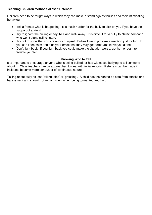### **Teaching Children Methods of 'Self Defence'**

Children need to be taught ways in which they can make a stand against bullies and their intimidating behaviour.

- Tell a friends what is happening. It is much harder for the bully to pick on you if you have the support of a friend.
- Try to ignore the bulling or say 'NO' and walk away. It is difficult for a bully to abuse someone who won't stand still to listen.
- Try not to show that you are angry or upset. Bullies love to provoke a reaction just for fun. If you can keep calm and hide your emotions, they may get bored and leave you alone.
- Don't fight back. If you fight back you could make the situation worse, get hurt or get into trouble yourself.

#### **Knowing Who to Tell**

**I**t is important to encourage anyone who is being bullied, or has witnessed bullying to tell someone about it. Class teachers can be approached to deal with initial reports. Referrals can be made if incidents become more serious or of continuous nature.

Telling about bullying isn't 'telling tales' or 'grassing'. A child has the right to be safe from attacks and harassment and should not remain silent when being tormented and hurt.